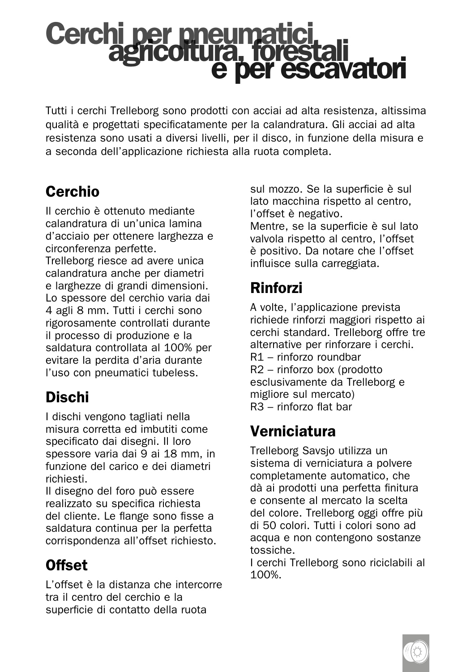### Cerchi per pneumatici<br>agricoltura, forestali e per escavatori

Tutti i cerchi Trelleborg sono prodotti con acciai ad alta resistenza, altissima qualità e progettati specificatamente per la calandratura. Gli acciai ad alta resistenza sono usati a diversi livelli, per il disco, in funzione della misura e a seconda dell'applicazione richiesta alla ruota completa.

#### Cerchio

Il cerchio è ottenuto mediante calandratura di un'unica lamina d'acciaio per ottenere larghezza e circonferenza perfette.

Trelleborg riesce ad avere unica calandratura anche per diametri e larghezze di grandi dimensioni. Lo spessore del cerchio varia dai 4 agli 8 mm. Tutti i cerchi sono rigorosamente controllati durante il processo di produzione e la saldatura controllata al 100% per evitare la perdita d'aria durante l'uso con pneumatici tubeless.

#### Dischi

I dischi vengono tagliati nella misura corretta ed imbutiti come specificato dai disegni. Il loro spessore varia dai 9 ai 18 mm, in funzione del carico e dei diametri richiesti.

Il disegno del foro può essere realizzato su specifica richiesta del cliente. Le flange sono fisse a saldatura continua per la perfetta corrispondenza all'offset richiesto.

#### Offset

L'offset è la distanza che intercorre tra il centro del cerchio e la superficie di contatto della ruota

sul mozzo. Se la superficie è sul lato macchina rispetto al centro, l'offset è negativo.

Mentre, se la superficie è sul lato valvola rispetto al centro, l'offset è positivo. Da notare che l'offset influisce sulla carreggiata.

#### Rinforzi

A volte, l'applicazione prevista richiede rinforzi maggiori rispetto ai cerchi standard. Trelleborg offre tre alternative per rinforzare i cerchi. R1 – rinforzo roundbar R2 – rinforzo box (prodotto esclusivamente da Trelleborg e migliore sul mercato) R3 – rinforzo flat bar

#### Verniciatura

Trelleborg Savsjo utilizza un sistema di verniciatura a polvere completamente automatico, che dà ai prodotti una perfetta finitura e consente al mercato la scelta del colore. Trelleborg oggi offre più di 50 colori. Tutti i colori sono ad acqua e non contengono sostanze tossiche.

I cerchi Trelleborg sono riciclabili al 100%.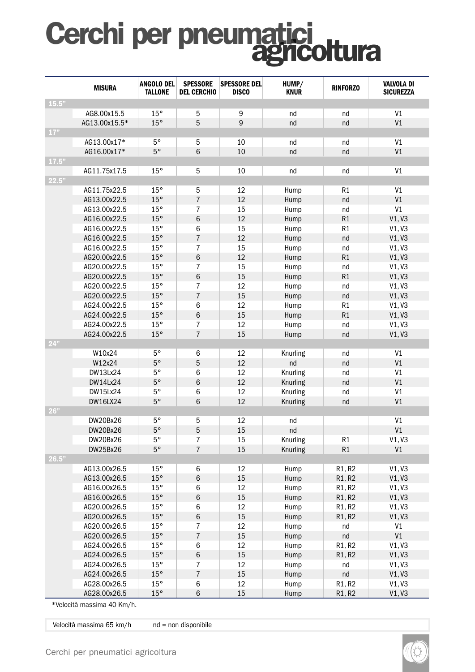# Cerchi per pneumatici<br>agricoltura

|       | <b>MISURA</b>   | ANGOLO DEL<br><b>TALLONE</b> | <b>SPESSORE</b><br><b>DEL CERCHIO</b> | <b>SPESSORE DEL</b><br><b>DISCO</b> | HUMP/<br><b>KNUR</b> | <b>RINFORZO</b>                 | <b>VALVOLA DI</b><br><b>SICUREZZA</b> |
|-------|-----------------|------------------------------|---------------------------------------|-------------------------------------|----------------------|---------------------------------|---------------------------------------|
| 15.5" |                 |                              |                                       |                                     |                      |                                 |                                       |
|       | AG8.00x15.5     | 15°                          | 5                                     | 9                                   | nd                   | nd                              | V <sub>1</sub>                        |
|       | AG13.00x15.5*   | 15°                          | 5                                     | 9                                   | nd                   | nd                              | V <sub>1</sub>                        |
| 17"   |                 |                              |                                       |                                     |                      |                                 |                                       |
|       | AG13.00x17*     | 5°                           | 5                                     | 10                                  | nd                   | nd                              | V <sub>1</sub>                        |
|       | AG16.00x17*     | $5^{\circ}$                  | 6                                     | 10                                  | nd                   | nd                              | V <sub>1</sub>                        |
| 17.5" |                 |                              |                                       |                                     |                      |                                 |                                       |
|       | AG11.75x17.5    | 15°                          | 5                                     | 10                                  | nd                   | nd                              | V <sub>1</sub>                        |
| 22.5" |                 |                              |                                       |                                     |                      |                                 |                                       |
|       | AG11.75x22.5    | 15°                          | 5                                     | 12                                  | Hump                 | R1                              | V1                                    |
|       | AG13.00x22.5    | 15°                          | $\overline{7}$                        | 12                                  | Hump                 | nd                              | V <sub>1</sub>                        |
|       | AG13.00x22.5    | 15°                          | $\overline{7}$                        | 15                                  | Hump                 | nd                              | V1                                    |
|       | AG16.00x22.5    | 15°                          | $6\phantom{1}6$                       | 12                                  | Hump                 | R1                              | V1, V3                                |
|       | AG16.00x22.5    | 15°                          | 6                                     | 15                                  | Hump                 | R1                              | V1. V3                                |
|       | AG16.00x22.5    | 15°                          | $\overline{7}$                        | 12                                  | Hump                 | nd                              | V1, V3                                |
|       | AG16.00x22.5    | 15°                          | $\overline{7}$                        | 15                                  | Hump                 | nd                              | V1, V3                                |
|       | AG20.00x22.5    | 15°                          | $6\phantom{1}6$                       | 12                                  | Hump                 | R1                              | V1, V3                                |
|       | AG20.00x22.5    | 15°                          | $\overline{7}$                        | 15                                  | Hump                 | nd                              | V1, V3                                |
|       | AG20.00x22.5    | 15°                          | $6\phantom{1}6$                       | 15                                  | Hump                 | R1                              | V1, V3                                |
|       | AG20.00x22.5    | 15°                          | $\overline{7}$                        | 12                                  | Hump                 | nd                              | V1, V3                                |
|       | AG20.00x22.5    | 15°                          | $\overline{7}$                        | 15                                  | Hump                 | nd                              | V1, V3                                |
|       | AG24.00x22.5    | 15°                          | 6                                     | 12                                  | Hump                 | R1                              | V1, V3                                |
|       | AG24.00x22.5    | 15°                          | $6\phantom{a}$                        | 15                                  | Hump                 | R1                              | V1, V3                                |
|       | AG24.00x22.5    | 15°                          | $\overline{7}$                        | 12                                  | Hump                 | nd                              | V1, V3                                |
|       | AG24.00x22.5    | 15°                          | $\overline{7}$                        | 15                                  | Hump                 | nd                              | V1, V3                                |
| 24"   |                 |                              |                                       |                                     |                      |                                 |                                       |
|       | W10x24          | $5^{\circ}$                  | 6                                     | 12                                  | Knurling             | nd                              | V <sub>1</sub>                        |
|       | W12x24          | $5^{\circ}$                  | 5                                     | 12                                  | nd                   | nd                              | V1                                    |
|       | DW13Lx24        | $5^{\circ}$                  | 6                                     | 12                                  | Knurling             | nd                              | V <sub>1</sub>                        |
|       | DW14Lx24        | $5^{\circ}$                  | 6                                     | 12                                  | Knurling             | nd                              | V <sub>1</sub>                        |
|       | <b>DW15Lx24</b> | $5^{\circ}$                  | 6                                     | 12                                  | Knurling             | nd                              | V <sub>1</sub>                        |
|       | <b>DW16LX24</b> | $5^{\circ}$                  | 6                                     | 12                                  | Knurling             | nd                              | V <sub>1</sub>                        |
| 26"   |                 |                              |                                       |                                     |                      |                                 |                                       |
|       | DW20Bx26        | $5^{\circ}$                  | 5                                     | 12                                  | nd                   |                                 | V <sub>1</sub>                        |
|       | DW20Bx26        | $5^{\circ}$                  | 5                                     | 15                                  | nd                   |                                 | V1                                    |
|       | DW20Bx26        | $5^{\circ}$                  | $\overline{7}$                        | 15                                  | Knurling             | R1                              | V1, V3                                |
|       | DW25Bx26        | $5^{\circ}$                  | $\overline{7}$                        | 15                                  | Knurling             | R1                              | V <sub>1</sub>                        |
| 26.5" |                 |                              |                                       |                                     |                      |                                 |                                       |
|       | AG13.00x26.5    | 15°                          | 6                                     | 12                                  | Hump                 | R1, R2                          | V1, V3                                |
|       | AG13.00x26.5    | 15°                          | $6\phantom{1}6$                       | 15                                  | Hump                 | R <sub>1</sub> , R <sub>2</sub> | V1, V3                                |
|       | AG16.00x26.5    | 15°                          | 6                                     | 12                                  | Hump                 | R1, R2                          | V1, V3                                |
|       | AG16.00x26.5    | 15°                          | $6\phantom{1}6$                       | 15                                  | Hump                 | R1, R2                          | V1, V3                                |
|       | AG20.00x26.5    | 15°                          | 6                                     | 12                                  | Hump                 | R1, R2                          | V1, V3                                |
|       | AG20.00x26.5    | 15°                          | $\,6$                                 | 15                                  | Hump                 | R1, R2                          | V1, V3                                |
|       | AG20.00x26.5    | 15°                          | $\overline{7}$                        | 12                                  | Hump                 | nd                              | V1                                    |
|       | AG20.00x26.5    | 15°                          | $\overline{7}$                        | 15                                  | Hump                 | nd                              | V1                                    |
|       | AG24.00x26.5    | 15°                          | 6                                     | 12                                  | Hump                 | R1, R2                          | V1, V3                                |
|       | AG24.00x26.5    | 15°                          | $\,6$                                 | 15                                  | Hump                 | R <sub>1</sub> , R <sub>2</sub> | V1, V3                                |
|       | AG24.00x26.5    | 15°                          | $\overline{7}$                        | 12                                  | Hump                 | nd                              | V1, V3                                |
|       | AG24.00x26.5    | 15°                          | $\overline{7}$                        | 15                                  | Hump                 | nd                              | V1, V3                                |
|       | AG28.00x26.5    | 15°                          | 6                                     | 12                                  | Hump                 | R1, R2                          | V1, V3                                |
|       | AG28.00x26.5    | 15°                          | 6                                     | 15                                  | Hump                 | R1, R2                          | V1, V3                                |

\*Velocità massima 40 Km/h.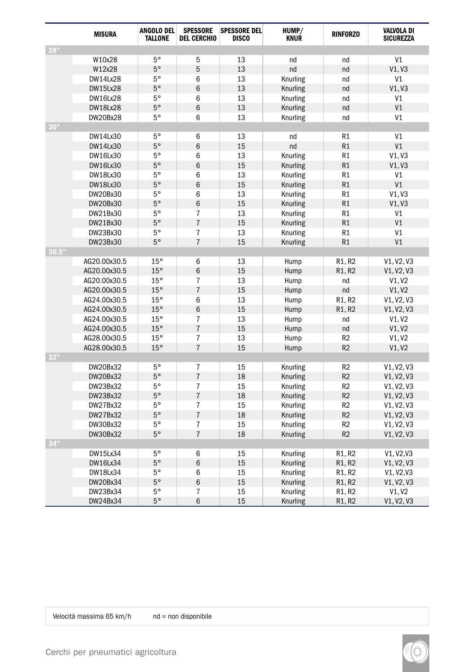|       | <b>MISURA</b>   | <b>ANGOLO DEL</b><br><b>TALLONE</b> | <b>SPESSORE</b><br><b>DEL CERCHIO</b> | <b>SPESSORE DEL</b><br><b>DISCO</b> | HUMP/<br><b>KNUR</b> | <b>RINFORZO</b> | <b>VALVOLA DI</b><br><b>SICUREZZA</b> |
|-------|-----------------|-------------------------------------|---------------------------------------|-------------------------------------|----------------------|-----------------|---------------------------------------|
| 28"   |                 |                                     |                                       |                                     |                      |                 |                                       |
|       | W10x28          | $5^{\circ}$                         | 5                                     | 13                                  | nd                   | nd              | V <sub>1</sub>                        |
|       | W12x28          | $5^{\circ}$                         | 5                                     | 13                                  | nd                   | nd              | V1, V3                                |
|       | <b>DW14Lx28</b> | $5^{\circ}$                         | 6                                     | 13                                  | Knurling             | nd              | V <sub>1</sub>                        |
|       | <b>DW15Lx28</b> | $5^{\circ}$                         | 6                                     | 13                                  | Knurling             | nd              | V1, V3                                |
|       | <b>DW16Lx28</b> | $5^{\circ}$                         | 6                                     | 13                                  | Knurling             | nd              | V1                                    |
|       | <b>DW18Lx28</b> | $5^{\circ}$                         | 6                                     | 13                                  | Knurling             | nd              | V <sub>1</sub>                        |
|       | <b>DW20Bx28</b> | $5^{\circ}$                         | 6                                     | 13                                  | Knurling             | nd              | V <sub>1</sub>                        |
| 30"   |                 |                                     |                                       |                                     |                      |                 |                                       |
|       | DW14Lx30        | $5^{\circ}$                         | 6                                     | 13                                  | nd                   | R1              | V <sub>1</sub>                        |
|       | DW14Lx30        | $5^{\circ}$                         | 6                                     | 15                                  | nd                   | R1              | V <sub>1</sub>                        |
|       | DW16Lx30        | 5°                                  | 6                                     | 13                                  | Knurling             | R1              | V1. V3                                |
|       | DW16Lx30        | $5^{\circ}$                         | $6\phantom{1}$                        | 15                                  | Knurling             | R1              | V1, V3                                |
|       | DW18Lx30        | 5°                                  | 6                                     | 13                                  | Knurling             | R1              | V1                                    |
|       | <b>DW18Lx30</b> | $5^{\circ}$                         | $6\phantom{a}$                        | 15                                  | Knurling             | R1              | V1                                    |
|       | DW20Bx30        | 5°                                  | 6                                     | 13                                  | Knurling             | R1              | V1, V3                                |
|       | DW20Bx30        | $5^{\circ}$                         | 6                                     | 15                                  | Knurling             | R1              | V1, V3                                |
|       | DW21Bx30        | $5^{\circ}$                         | $\overline{7}$                        | 13                                  | Knurling             | R1              | V1                                    |
|       | DW21Bx30        | $5^{\circ}$                         | $\overline{7}$                        | 15                                  | Knurling             | R1              | V1                                    |
|       | DW23Bx30        | $5^{\circ}$                         | $\overline{7}$                        | 13                                  | Knurling             | R1              | V <sub>1</sub>                        |
|       | DW23Bx30        | $5^{\circ}$                         | $\overline{7}$                        | 15                                  | Knurling             | R1              | V <sub>1</sub>                        |
| 30.5" |                 |                                     |                                       |                                     |                      |                 |                                       |
|       | AG20.00x30.5    | 15°                                 | 6                                     | 13                                  | Hump                 | R1, R2          | V1, V2, V3                            |
|       | AG20.00x30.5    | 15°                                 | 6                                     | 15                                  | Hump                 | R1, R2          | V1, V2, V3                            |
|       | AG20.00x30.5    | 15°                                 | $\overline{7}$                        | 13                                  | Hump                 | nd              | V1, V2                                |
|       | AG20.00x30.5    | 15°                                 | $\overline{7}$                        | 15                                  | Hump                 | nd              | V1, V2                                |
|       | AG24.00x30.5    | 15°                                 | 6                                     | 13                                  | Hump                 | R1, R2          | V1, V2, V3                            |
|       | AG24.00x30.5    | 15°                                 | 6                                     | 15                                  | Hump                 | R1, R2          | V1, V2, V3                            |
|       | AG24.00x30.5    | 15°                                 | $\overline{7}$                        | 13                                  | Hump                 | nd              | V1, V2                                |
|       | AG24.00x30.5    | 15°                                 | $\overline{7}$                        | 15                                  | Hump                 | nd              | V1, V2                                |
|       | AG28.00x30.5    | 15°                                 | $\overline{7}$                        | 13                                  | Hump                 | R <sub>2</sub>  | V1, V2                                |
|       | AG28.00x30.5    | 15°                                 | $\overline{7}$                        | 15                                  | Hump                 | R <sub>2</sub>  | V1, V2                                |
| 32"   |                 |                                     |                                       |                                     |                      |                 |                                       |
|       | DW20Bx32        | 5°                                  | $\overline{7}$                        | 15                                  | Knurling             | R <sub>2</sub>  | V1, V2, V3                            |
|       | DW20Bx32        | $5^{\circ}$                         | $\overline{7}$                        | 18                                  | Knurling             | R <sub>2</sub>  | V1, V2, V3                            |
|       | DW23Bx32        | $5^{\circ}$                         | $\overline{7}$                        | 15                                  | Knurling             | R <sub>2</sub>  | V1, V2, V3                            |
|       | DW23Bx32        | $5^{\circ}$                         | $\overline{7}$                        | 18                                  | Knurling             | R <sub>2</sub>  | V1, V2, V3                            |
|       | DW27Bx32        | $5^{\circ}$                         | $\overline{7}$                        | 15                                  | Knurling             | R <sub>2</sub>  | V1, V2, V3                            |
|       | DW27Bx32        | $5^{\circ}$                         | $\overline{7}$                        | 18                                  | Knurling             | R <sub>2</sub>  | V1, V2, V3                            |
|       | DW30Bx32        | $5^{\circ}$                         | $\overline{7}$                        | 15                                  | Knurling             | R <sub>2</sub>  | V1, V2, V3                            |
|       | DW30Bx32        | $5^{\circ}$                         | $\overline{7}$                        | 18                                  | Knurling             | R <sub>2</sub>  | V1, V2, V3                            |
| 34"   |                 |                                     |                                       |                                     |                      |                 |                                       |
|       | DW15Lx34        | $5^{\circ}$                         | 6                                     | 15                                  | Knurling             | R1, R2          | V1, V2, V3                            |
|       | <b>DW16Lx34</b> | $5^{\circ}$                         | $6\phantom{1}$                        | 15                                  | Knurling             | R1, R2          | V1, V2, V3                            |
|       | DW18Lx34        | 5°                                  | 6                                     | 15                                  | Knurling             | R1, R2          | V1, V2, V3                            |
|       | DW20Bx34        | $5^{\circ}$                         | 6                                     | 15                                  | Knurling             | R1, R2          | V1, V2, V3                            |
|       | DW23Bx34        | 5°                                  | $\overline{7}$                        | 15                                  | Knurling             | R1, R2          | V1, V2                                |
|       | DW24Bx34        | $5^{\circ}$                         | 6                                     | 15                                  | Knurling             | R1, R2          | V1, V2, V3                            |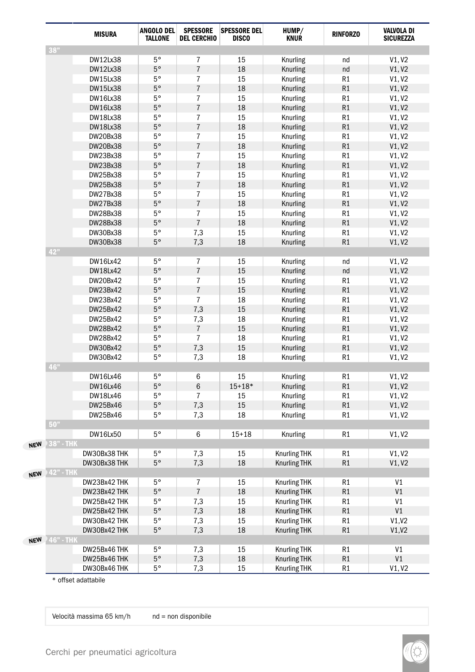|            |           | <b>MISURA</b>   | ANGOLO DEL<br><b>TALLONE</b> | <b>SPESSORE</b><br><b>DEL CERCHIO</b> | <b>SPESSORE DEL</b><br><b>DISCO</b> | HUMP/<br><b>KNUR</b> | <b>RINFORZO</b> | <b>VALVOLA DI</b><br><b>SICUREZZA</b> |
|------------|-----------|-----------------|------------------------------|---------------------------------------|-------------------------------------|----------------------|-----------------|---------------------------------------|
|            | 38"       |                 |                              |                                       |                                     |                      |                 |                                       |
|            |           | <b>DW12Lx38</b> | 5°                           | $\overline{7}$                        | 15                                  | Knurling             | nd              | V1, V2                                |
|            |           | <b>DW12Lx38</b> | $5^{\circ}$                  | $\overline{7}$                        | 18                                  | Knurling             | nd              | V1, V2                                |
|            |           | <b>DW15Lx38</b> | $5^{\circ}$                  | $\overline{7}$                        | 15                                  | Knurling             | R1              | V1, V2                                |
|            |           | <b>DW15Lx38</b> | $5^{\circ}$                  | $\overline{7}$                        | 18                                  | Knurling             | R1              | V1, V2                                |
|            |           | <b>DW16Lx38</b> | $5^{\circ}$                  | 7                                     | 15                                  | Knurling             | R1              | V1, V2                                |
|            |           | <b>DW16Lx38</b> | $5^{\circ}$                  | $\overline{7}$                        | 18                                  | Knurling             | R1              | V1, V2                                |
|            |           | <b>DW18Lx38</b> | $5^{\circ}$                  | 7                                     | 15                                  | Knurling             | R1              | V1, V2                                |
|            |           | <b>DW18Lx38</b> | $5^{\circ}$                  | $\overline{7}$                        | 18                                  | Knurling             | R <sub>1</sub>  | V1, V2                                |
|            |           | DW20Bx38        | $5^{\circ}$                  | $\overline{7}$                        | 15                                  | Knurling             | R1              | V1, V2                                |
|            |           | DW20Bx38        | $5^{\circ}$                  | $\overline{7}$                        | 18                                  | Knurling             | R <sub>1</sub>  | V1, V2                                |
|            |           | DW23Bx38        | $5^{\circ}$                  | $\overline{7}$                        | 15                                  | Knurling             | R1              | V1, V2                                |
|            |           | DW23Bx38        | $5^{\circ}$                  | $\overline{7}$                        | 18                                  | Knurling             | R1              | V1, V2                                |
|            |           | DW25Bx38        | $5^{\circ}$                  | $\overline{7}$                        | 15                                  | Knurling             | R1              | V1, V2                                |
|            |           | DW25Bx38        | $5^{\circ}$                  | $\overline{7}$                        | 18                                  | Knurling             | R1              | V1, V2                                |
|            |           | DW27Bx38        | $5^{\circ}$                  | $\overline{7}$                        | 15                                  | Knurling             | R1              | V1, V2                                |
|            |           | DW27Bx38        | $5^{\circ}$                  | $\overline{7}$                        | 18                                  | Knurling             | R1              | V1, V2                                |
|            |           | DW28Bx38        | $5^{\circ}$                  | $\overline{7}$                        | 15                                  | Knurling             | R1              | V1, V2                                |
|            |           | DW28Bx38        | $5^{\circ}$                  | $\overline{7}$                        | 18                                  | Knurling             | R1              | V1, V2                                |
|            |           | DW30Bx38        | $5^{\circ}$                  | 7.3                                   | 15                                  | Knurling             | R1              | V1, V2                                |
|            |           | <b>DW30Bx38</b> | $5^{\circ}$                  | 7,3                                   | 18                                  | Knurling             | R1              | V1, V2                                |
|            | 42"       |                 |                              |                                       |                                     |                      |                 |                                       |
|            |           | <b>DW16Lx42</b> | $5^{\circ}$                  | $\overline{7}$                        | 15                                  | Knurling             | nd              | V1, V2                                |
|            |           | <b>DW18Lx42</b> | $5^{\circ}$                  | $\overline{7}$                        | 15                                  | Knurling             | nd              | V1, V2                                |
|            |           | DW20Bx42        | $5^{\circ}$                  | 7                                     | 15                                  | Knurling             | R1              | V1, V2                                |
|            |           | DW23Bx42        | $5^{\circ}$                  | $\overline{7}$                        | 15                                  | Knurling             | R1              | V1, V2                                |
|            |           | DW23Bx42        | $5^{\circ}$                  | $\overline{7}$                        | 18                                  | Knurling             | R1              | V1, V2                                |
|            |           | DW25Bx42        | $5^{\circ}$                  | 7,3                                   | 15                                  | Knurling             | R1              | V1, V2                                |
|            |           | DW25Bx42        | $5^{\circ}$                  | 7,3                                   | 18                                  | Knurling             | R1              | V1, V2                                |
|            |           | DW28Bx42        | $5^{\circ}$                  | $\overline{7}$                        | 15                                  | Knurling             | R1              | V1, V2                                |
|            |           | DW28Bx42        | $5^{\circ}$                  | $\overline{7}$                        | 18                                  | Knurling             | R1              | V1, V2                                |
|            |           | DW30Bx42        | $5^{\circ}$                  | 7,3                                   | 15                                  | Knurling             | R1              | V1, V2                                |
|            |           | DW30Bx42        | $5^{\circ}$                  | 7,3                                   | 18                                  | Knurling             | R1              | V1, V2                                |
|            | 46"       |                 |                              |                                       |                                     |                      |                 |                                       |
|            |           | <b>DW16Lx46</b> | $5^{\circ}$                  | 6                                     | 15                                  | Knurling             | R1              | V1, V2                                |
|            |           | <b>DW16Lx46</b> | $5^{\circ}$                  | 6                                     | $15 + 18*$                          | Knurling             | R1              | V1, V2                                |
|            |           | <b>DW18Lx46</b> | $5^{\circ}$                  | $\overline{7}$                        | 15                                  | Knurling             | R1              | V1, V2                                |
|            |           | DW25Bx46        | $5^{\circ}$                  | 7,3                                   | 15                                  | Knurling             | R1              | V1, V2                                |
|            |           | DW25Bx46        | $5^{\circ}$                  | 7,3                                   | 18                                  | Knurling             | R1              | V1, V2                                |
|            | 50"       |                 |                              |                                       |                                     |                      |                 |                                       |
|            |           | <b>DW16Lx50</b> | $5^{\circ}$                  | 6                                     | $15 + 18$                           | Knurling             | R1              | V1, V2                                |
| <b>NEW</b> | 38" - THK |                 |                              |                                       |                                     |                      |                 |                                       |
|            |           | DW30Bx38 THK    | 5°                           | 7,3                                   | 15                                  | Knurling THK         | R1              | V1, V2                                |
|            |           | DW30Bx38 THK    | $5^{\circ}$                  | 7,3                                   | 18                                  | <b>Knurling THK</b>  | R1              | V1, V2                                |
|            | 42" - THI |                 |                              |                                       |                                     |                      |                 |                                       |
| <b>NEW</b> |           | DW23Bx42 THK    | $5^{\circ}$                  | $\overline{7}$                        | 15                                  | <b>Knurling THK</b>  | R1              | V1                                    |
|            |           | DW23Bx42 THK    | $5^{\circ}$                  | $\overline{7}$                        | 18                                  | <b>Knurling THK</b>  | R1              | V <sub>1</sub>                        |
|            |           | DW25Bx42 THK    | $5^{\circ}$                  | 7,3                                   | 15                                  | <b>Knurling THK</b>  | R1              | V <sub>1</sub>                        |
|            |           | DW25Bx42 THK    | $5^{\circ}$                  | 7,3                                   | 18                                  |                      | R1              | V <sub>1</sub>                        |
|            |           |                 |                              |                                       |                                     | <b>Knurling THK</b>  |                 |                                       |
|            |           | DW30Bx42 THK    | $5^{\circ}$                  | 7,3                                   | 15                                  | <b>Knurling THK</b>  | R1              | V1.V2                                 |
|            |           | DW30Bx42 THK    | $5^{\circ}$                  | 7,3                                   | 18                                  | <b>Knurling THK</b>  | R1              | V1,V2                                 |
| <b>NEW</b> | 46" - THK |                 |                              |                                       |                                     |                      |                 |                                       |
|            |           | DW25Bx46 THK    | 5°<br>$5^{\circ}$            | 7,3                                   | 15                                  | <b>Knurling THK</b>  | R1<br>R1        | V1<br>V <sub>1</sub>                  |
|            |           | DW25Bx46THK     | $5^{\circ}$                  | 7,3                                   | 18                                  | <b>Knurling THK</b>  |                 |                                       |
|            |           | DW30Bx46THK     |                              | 7,3                                   | 15                                  | Knurling THK         | R <sub>1</sub>  | V1, V2                                |

\* offset adattabile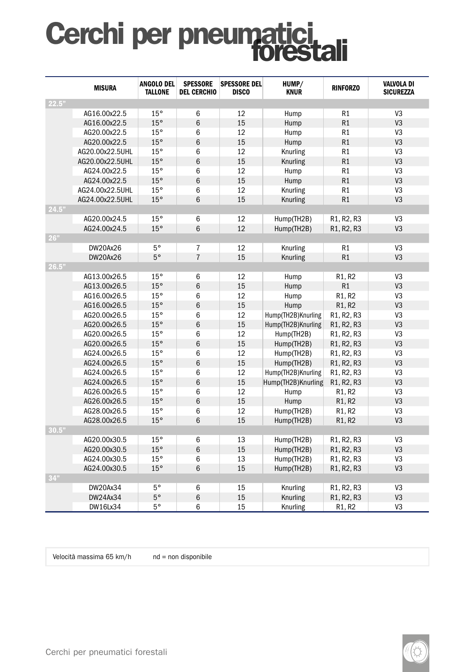### Cerchi per pneumatici

|       | <b>MISURA</b>   | <b>ANGOLO DEL</b><br><b>TALLONE</b> | <b>SPESSORE</b><br><b>DEL CERCHIO</b> | <b>SPESSORE DEL</b><br><b>DISCO</b> | HUMP/<br><b>KNUR</b> | <b>RINFORZO</b> | <b>VALVOLA DI</b><br><b>SICUREZZA</b> |
|-------|-----------------|-------------------------------------|---------------------------------------|-------------------------------------|----------------------|-----------------|---------------------------------------|
| 22.5" |                 |                                     |                                       |                                     |                      |                 |                                       |
|       | AG16.00x22.5    | 15°                                 | 6                                     | 12                                  | Hump                 | R1              | V <sub>3</sub>                        |
|       | AG16.00x22.5    | 15°                                 | 6                                     | 15                                  | Hump                 | R1              | V <sub>3</sub>                        |
|       | AG20.00x22.5    | 15°                                 | 6                                     | 12                                  | Hump                 | R1              | V <sub>3</sub>                        |
|       | AG20.00x22.5    | 15°                                 | 6                                     | 15                                  | Hump                 | R1              | V3                                    |
|       | AG20.00x22.5UHL | 15°                                 | 6                                     | 12                                  | Knurling             | R1              | V3                                    |
|       | AG20.00x22.5UHL | 15°                                 | 6                                     | 15                                  | Knurling             | R1              | V <sub>3</sub>                        |
|       | AG24.00x22.5    | 15°                                 | 6                                     | 12                                  | Hump                 | R1              | V3                                    |
|       | AG24.00x22.5    | 15°                                 | $6\phantom{a}$                        | 15                                  | Hump                 | R1              | V <sub>3</sub>                        |
|       | AG24.00x22.5UHL | 15°                                 | 6                                     | 12                                  | Knurling             | R1              | V3                                    |
|       | AG24.00x22.5UHL | 15°                                 | 6                                     | 15                                  | Knurling             | R1              | V3                                    |
| 24.5" |                 |                                     |                                       |                                     |                      |                 |                                       |
|       | AG20.00x24.5    | 15°                                 | 6                                     | 12                                  | Hump(TH2B)           | R1, R2, R3      | V <sub>3</sub>                        |
|       | AG24.00x24.5    | 15°                                 | 6                                     | 12                                  | Hump(TH2B)           | R1, R2, R3      | V <sub>3</sub>                        |
| 26"   |                 |                                     |                                       |                                     |                      |                 |                                       |
|       | DW20Ax26        | $5^{\circ}$                         | $\overline{7}$                        | 12                                  | Knurling             | R1              | V3                                    |
|       | <b>DW20Ax26</b> | $5^{\circ}$                         | $\overline{7}$                        | 15                                  | Knurling             | R1              | V <sub>3</sub>                        |
| 26.5" |                 |                                     |                                       |                                     |                      |                 |                                       |
|       | AG13.00x26.5    | 15°                                 | 6                                     | 12                                  | Hump                 | R1, R2          | V3                                    |
|       | AG13.00x26.5    | 15°                                 | 6                                     | 15                                  | Hump                 | R1              | V <sub>3</sub>                        |
|       | AG16.00x26.5    | 15°                                 | 6                                     | 12                                  | Hump                 | R1, R2          | V3                                    |
|       | AG16.00x26.5    | 15°                                 | 6                                     | 15                                  | Hump                 | R1, R2          | V <sub>3</sub>                        |
|       | AG20.00x26.5    | 15°                                 | 6                                     | 12                                  | Hump(TH2B)Knurling   | R1, R2, R3      | V3                                    |
|       | AG20.00x26.5    | 15°                                 | 6                                     | 15                                  | Hump(TH2B)Knurling   | R1, R2, R3      | V3                                    |
|       | AG20.00x26.5    | 15°                                 | $\,6\,$                               | 12                                  | Hump(TH2B)           | R1, R2, R3      | V3                                    |
|       | AG20.00x26.5    | 15°                                 | 6                                     | 15                                  | Hump(TH2B)           | R1, R2, R3      | V <sub>3</sub>                        |
|       | AG24.00x26.5    | 15°                                 | 6                                     | 12                                  | Hump(TH2B)           | R1, R2, R3      | V3                                    |
|       | AG24.00x26.5    | 15°                                 | 6                                     | 15                                  | Hump(TH2B)           | R1, R2, R3      | V3                                    |
|       | AG24.00x26.5    | 15°                                 | 6                                     | 12                                  | Hump(TH2B)Knurling   | R1, R2, R3      | V3                                    |
|       | AG24.00x26.5    | 15°                                 | 6                                     | 15                                  | Hump(TH2B)Knurling   | R1, R2, R3      | V3                                    |
|       | AG26.00x26.5    | $15^{\circ}$                        | 6                                     | 12                                  | Hump                 | R1, R2          | V3                                    |
|       | AG26.00x26.5    | 15°                                 | $6\phantom{a}$                        | 15                                  | Hump                 | R1, R2          | V <sub>3</sub>                        |
|       | AG28.00x26.5    | 15°                                 | 6                                     | 12                                  | Hump(TH2B)           | R1, R2          | V <sub>3</sub>                        |
|       | AG28.00x26.5    | 15°                                 | 6                                     | 15                                  | Hump(TH2B)           | R1, R2          | V <sub>3</sub>                        |
| 30.5" |                 |                                     |                                       |                                     |                      |                 |                                       |
|       | AG20.00x30.5    | 15°                                 | 6                                     | 13                                  | Hump(TH2B)           | R1, R2, R3      | V <sub>3</sub>                        |
|       | AG20.00x30.5    | 15°                                 | $6\phantom{a}$                        | 15                                  | Hump(TH2B)           | R1, R2, R3      | V3                                    |
|       | AG24.00x30.5    | 15°                                 | 6                                     | 13                                  | Hump(TH2B)           | R1, R2, R3      | V3                                    |
|       | AG24.00x30.5    | 15°                                 | 6                                     | 15                                  | Hump(TH2B)           | R1, R2, R3      | V <sub>3</sub>                        |
| 34"   |                 |                                     |                                       |                                     |                      |                 |                                       |
|       | DW20Ax34        | $5^{\circ}$                         | 6                                     | 15                                  | Knurling             | R1, R2, R3      | V3                                    |
|       | DW24Ax34        | $5^{\circ}$                         | 6                                     | 15                                  | Knurling             | R1, R2, R3      | V <sub>3</sub>                        |
|       | DW16Lx34        | $5^{\circ}$                         | 6                                     | 15                                  | Knurling             | R1, R2          | V3                                    |